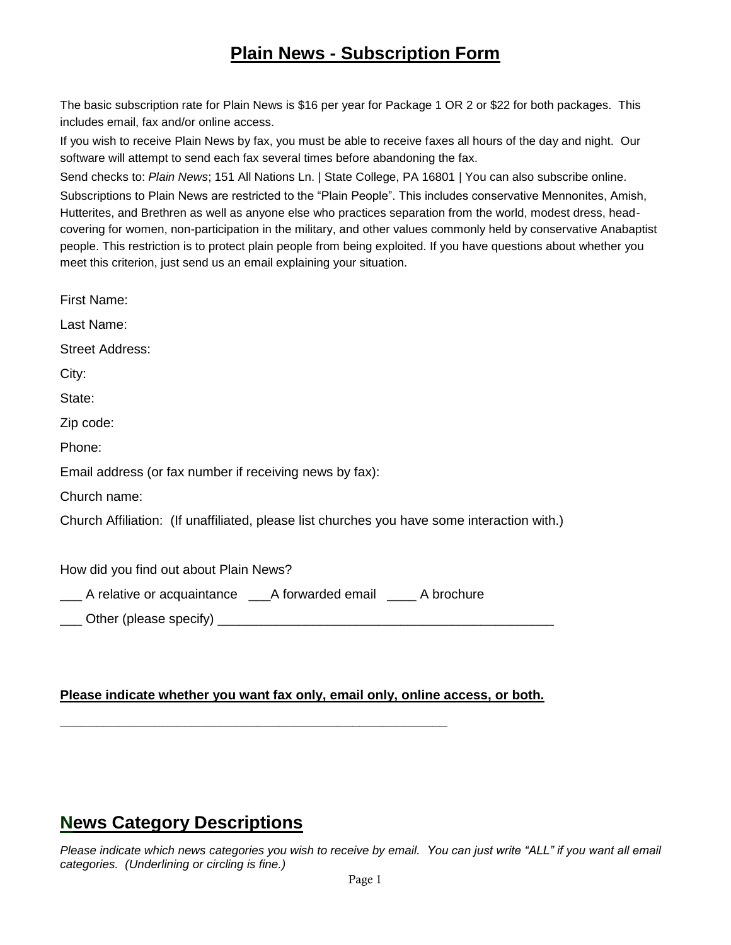## **Plain News - Subscription Form**

The basic subscription rate for Plain News is \$16 per year for Package 1 OR 2 or \$22 for both packages. This includes email, fax and/or online access.

If you wish to receive Plain News by fax, you must be able to receive faxes all hours of the day and night. Our software will attempt to send each fax several times before abandoning the fax.

Send checks to: *Plain News*; 151 All Nations Ln. | State College, PA 16801 | You can also subscribe online. Subscriptions to Plain News are restricted to the "Plain People". This includes conservative Mennonites, Amish, Hutterites, and Brethren as well as anyone else who practices separation from the world, modest dress, headcovering for women, non-participation in the military, and other values commonly held by conservative Anabaptist people. This restriction is to protect plain people from being exploited. If you have questions about whether you meet this criterion, just send us an email explaining your situation.

| First Name:                                                                                 |
|---------------------------------------------------------------------------------------------|
| Last Name:                                                                                  |
| <b>Street Address:</b>                                                                      |
| City:                                                                                       |
| State:                                                                                      |
| Zip code:                                                                                   |
| Phone:                                                                                      |
| Email address (or fax number if receiving news by fax):                                     |
| Church name:                                                                                |
| Church Affiliation: (If unaffiliated, please list churches you have some interaction with.) |
| How did you find out about Plain News?                                                      |
| A relative or acquaintance A forwarded email A brochure                                     |
| Other (please specify)                                                                      |

### **Please indicate whether you want fax only, email only, online access, or both.**

**\_\_\_\_\_\_\_\_\_\_\_\_\_\_\_\_\_\_\_\_\_\_\_\_\_\_\_\_\_\_\_\_\_\_\_\_\_\_\_\_\_\_\_\_\_\_\_\_\_\_\_\_\_**

# **News Category Descriptions**

*Please indicate which news categories you wish to receive by email. You can just write "ALL" if you want all email categories. (Underlining or circling is fine.)*